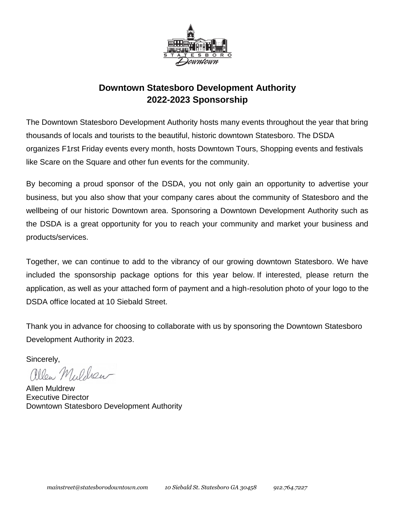

### **Downtown Statesboro Development Authority 2022-2023 Sponsorship**

The Downtown Statesboro Development Authority hosts many events throughout the year that bring thousands of locals and tourists to the beautiful, historic downtown Statesboro. The DSDA organizes F1rst Friday events every month, hosts Downtown Tours, Shopping events and festivals like Scare on the Square and other fun events for the community.

By becoming a proud sponsor of the DSDA, you not only gain an opportunity to advertise your business, but you also show that your company cares about the community of Statesboro and the wellbeing of our historic Downtown area. Sponsoring a Downtown Development Authority such as the DSDA is a great opportunity for you to reach your community and market your business and products/services.

Together, we can continue to add to the vibrancy of our growing downtown Statesboro. We have included the sponsorship package options for this year below. If interested, please return the application, as well as your attached form of payment and a high-resolution photo of your logo to the DSDA office located at 10 Siebald Street.

Thank you in advance for choosing to collaborate with us by sponsoring the Downtown Statesboro Development Authority in 2023.

Sincerely,<br>*allen Muldeu* 

Allen Muldrew Executive Director Downtown Statesboro Development Authority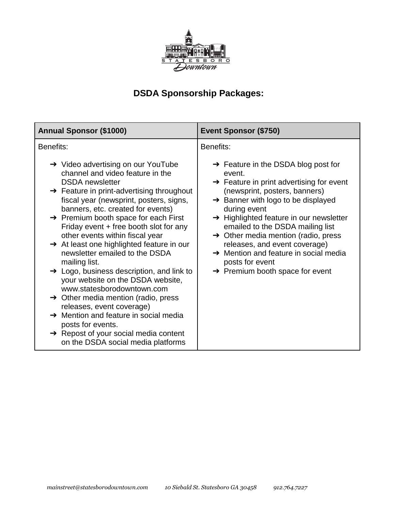

# **DSDA Sponsorship Packages:**

| Benefits:<br>Benefits:<br>$\rightarrow$ Video advertising on our YouTube<br>$\rightarrow$ Feature in the DSDA blog post for<br>channel and video feature in the<br>event.<br><b>DSDA</b> newsletter<br>$\rightarrow$ Feature in print advertising for event<br>$\rightarrow$ Feature in print-advertising throughout<br>(newsprint, posters, banners)<br>fiscal year (newsprint, posters, signs,<br>$\rightarrow$ Banner with logo to be displayed<br>banners, etc. created for events)<br>during event<br>$\rightarrow$ Premium booth space for each First<br>$\rightarrow$ Highlighted feature in our newsletter<br>Friday event + free booth slot for any<br>emailed to the DSDA mailing list<br>other events within fiscal year<br>$\rightarrow$ Other media mention (radio, press<br>$\rightarrow$ At least one highlighted feature in our<br>releases, and event coverage)<br>$\rightarrow$ Mention and feature in social media<br>newsletter emailed to the DSDA<br>mailing list.<br>posts for event<br>$\rightarrow$ Logo, business description, and link to<br>$\rightarrow$ Premium booth space for event<br>your website on the DSDA website,<br>www.statesborodowntown.com<br>$\rightarrow$ Other media mention (radio, press<br>releases, event coverage)<br>$\rightarrow$ Mention and feature in social media<br>posts for events. | <b>Annual Sponsor (\$1000)</b>                    | <b>Event Sponsor (\$750)</b> |  |
|--------------------------------------------------------------------------------------------------------------------------------------------------------------------------------------------------------------------------------------------------------------------------------------------------------------------------------------------------------------------------------------------------------------------------------------------------------------------------------------------------------------------------------------------------------------------------------------------------------------------------------------------------------------------------------------------------------------------------------------------------------------------------------------------------------------------------------------------------------------------------------------------------------------------------------------------------------------------------------------------------------------------------------------------------------------------------------------------------------------------------------------------------------------------------------------------------------------------------------------------------------------------------------------------------------------------------------------------------|---------------------------------------------------|------------------------------|--|
|                                                                                                                                                                                                                                                                                                                                                                                                                                                                                                                                                                                                                                                                                                                                                                                                                                                                                                                                                                                                                                                                                                                                                                                                                                                                                                                                                  |                                                   |                              |  |
|                                                                                                                                                                                                                                                                                                                                                                                                                                                                                                                                                                                                                                                                                                                                                                                                                                                                                                                                                                                                                                                                                                                                                                                                                                                                                                                                                  | $\rightarrow$ Repost of your social media content |                              |  |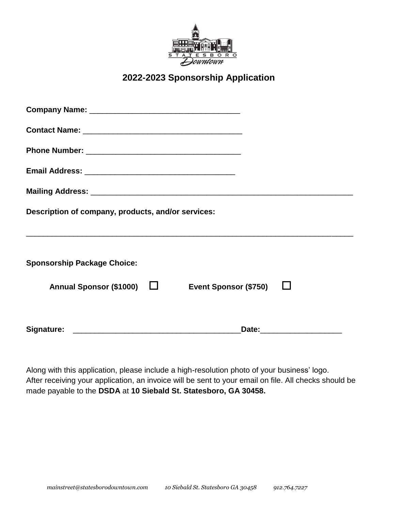

#### **2022-2023 Sponsorship Application**

| Description of company, products, and/or services: |                              |                           |
|----------------------------------------------------|------------------------------|---------------------------|
|                                                    |                              |                           |
| <b>Sponsorship Package Choice:</b>                 |                              |                           |
| Annual Sponsor (\$1000) □                          | <b>Event Sponsor (\$750)</b> |                           |
|                                                    |                              | Date: ___________________ |

Along with this application, please include a high-resolution photo of your business' logo. After receiving your application, an invoice will be sent to your email on file. All checks should be made payable to the **DSDA** at **10 Siebald St. Statesboro, GA 30458.**